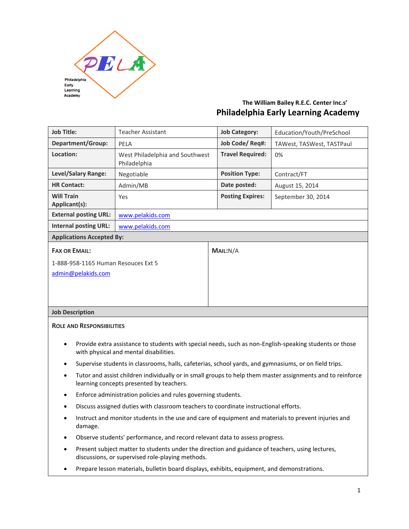

# **The William Bailey R.E.C. Center Inc.s' Philadelphia Early Learning Academy**

| <b>Job Title:</b>                                                                                                                                 | <b>Teacher Assistant</b>                        | <b>Job Category:</b>    | Education/Youth/PreSchool |
|---------------------------------------------------------------------------------------------------------------------------------------------------|-------------------------------------------------|-------------------------|---------------------------|
| Department/Group:                                                                                                                                 | PELA                                            | Job Code/Req#:          | TAWest, TASWest, TASTPaul |
| Location:                                                                                                                                         | West Philadelphia and Southwest<br>Philadelphia | <b>Travel Required:</b> | 0%                        |
| Level/Salary Range:                                                                                                                               | Negotiable                                      | <b>Position Type:</b>   | Contract/FT               |
| <b>HR Contact:</b>                                                                                                                                | Admin/MB                                        | Date posted:            | August 15, 2014           |
| <b>Will Train</b><br>Applicant(s):                                                                                                                | Yes                                             | <b>Posting Expires:</b> | September 30, 2014        |
| <b>External posting URL:</b>                                                                                                                      | www.pelakids.com                                |                         |                           |
| <b>Internal posting URL:</b>                                                                                                                      | www.pelakids.com                                |                         |                           |
| <b>Applications Accepted By:</b>                                                                                                                  |                                                 |                         |                           |
| <b>FAX OR EMAIL:</b>                                                                                                                              |                                                 | MAIL:N/A                |                           |
| 1-888-958-1165 Human Resouces Ext 5                                                                                                               |                                                 |                         |                           |
| admin@pelakids.com                                                                                                                                |                                                 |                         |                           |
|                                                                                                                                                   |                                                 |                         |                           |
|                                                                                                                                                   |                                                 |                         |                           |
| <b>Job Description</b>                                                                                                                            |                                                 |                         |                           |
| <b>ROLE AND RESPONSIBILITIES</b>                                                                                                                  |                                                 |                         |                           |
| Provide extra assistance to students with special needs, such as non-English-speaking students or those<br>with physical and mental disabilities. |                                                 |                         |                           |
| Supervise students in classrooms, halls, cafeterias, school yards, and gymnasiums, or on field trips.                                             |                                                 |                         |                           |

- Tutor and assist children individually or in small groups to help them master assignments and to reinforce learning concepts presented by teachers.
- Enforce administration policies and rules governing students.
- Discuss assigned duties with classroom teachers to coordinate instructional efforts.
- Instruct and monitor students in the use and care of equipment and materials to prevent injuries and damage.
- Observe students' performance, and record relevant data to assess progress.
- Present subject matter to students under the direction and guidance of teachers, using lectures, discussions, or supervised role-playing methods.
- Prepare lesson materials, bulletin board displays, exhibits, equipment, and demonstrations.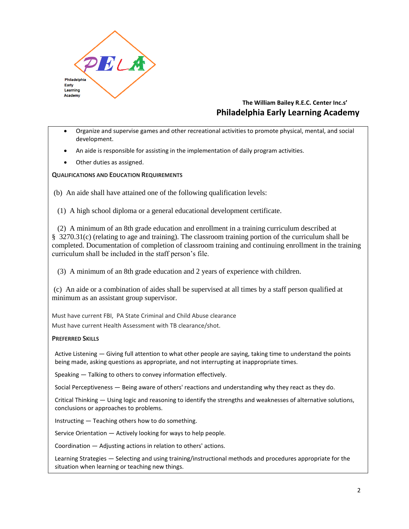

# **The William Bailey R.E.C. Center Inc.s' Philadelphia Early Learning Academy**

- Organize and supervise games and other recreational activities to promote physical, mental, and social development.
- An aide is responsible for assisting in the implementation of daily program activities.
- Other duties as assigned.

### **QUALIFICATIONS AND EDUCATION REQUIREMENTS**

(b) An aide shall have attained one of the following qualification levels:

(1) A high school diploma or a general educational development certificate.

 (2) A minimum of an 8th grade education and enrollment in a training curriculum described at § 3270.31(c) (relating to age and training). The classroom training portion of the curriculum shall be completed. Documentation of completion of classroom training and continuing enrollment in the training curriculum shall be included in the staff person's file.

(3) A minimum of an 8th grade education and 2 years of experience with children.

(c) An aide or a combination of aides shall be supervised at all times by a staff person qualified at minimum as an assistant group supervisor.

Must have current FBI, PA State Criminal and Child Abuse clearance

Must have current Health Assessment with TB clearance/shot.

#### **PREFERRED SKILLS**

Active Listening — Giving full attention to what other people are saying, taking time to understand the points being made, asking questions as appropriate, and not interrupting at inappropriate times.

Speaking — Talking to others to convey information effectively.

Social Perceptiveness — Being aware of others' reactions and understanding why they react as they do.

Critical Thinking — Using logic and reasoning to identify the strengths and weaknesses of alternative solutions, conclusions or approaches to problems.

Instructing — Teaching others how to do something.

Service Orientation — Actively looking for ways to help people.

Coordination — Adjusting actions in relation to others' actions.

Learning Strategies — Selecting and using training/instructional methods and procedures appropriate for the situation when learning or teaching new things.